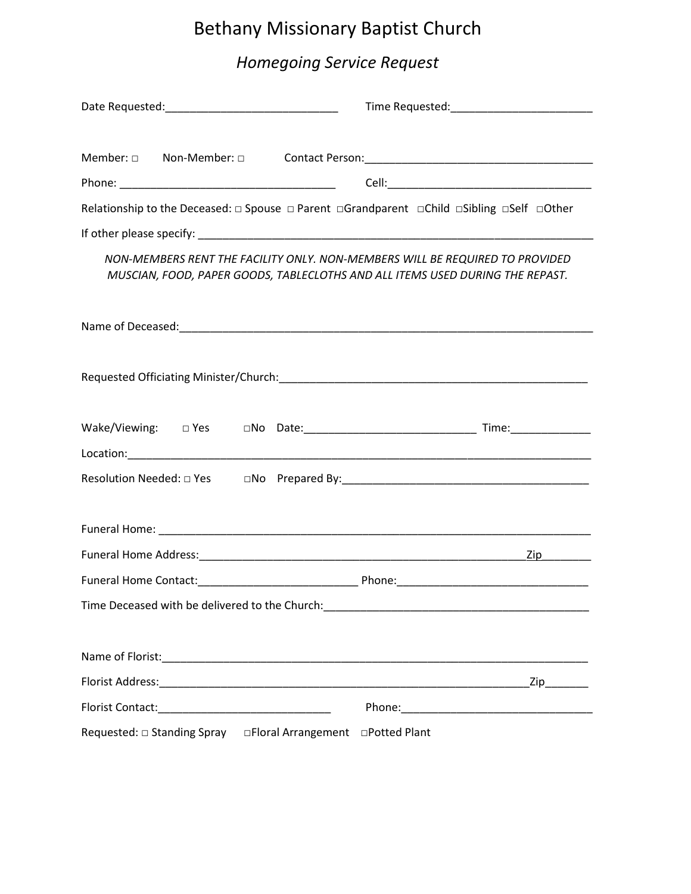# Bethany Missionary Baptist Church

# *Homegoing Service Request*

|  | Member: 0 Non-Member: 0 Contact Person: 0 2010 2020 2020 2021 2021 2022 2023 2024                                                                             |
|--|---------------------------------------------------------------------------------------------------------------------------------------------------------------|
|  |                                                                                                                                                               |
|  | Relationship to the Deceased:  □ Spouse  □ Parent □ Grandparent □ Child □ Sibling □ Self □ Other                                                              |
|  |                                                                                                                                                               |
|  | NON-MEMBERS RENT THE FACILITY ONLY. NON-MEMBERS WILL BE REQUIRED TO PROVIDED<br>MUSCIAN, FOOD, PAPER GOODS, TABLECLOTHS AND ALL ITEMS USED DURING THE REPAST. |
|  |                                                                                                                                                               |
|  |                                                                                                                                                               |
|  |                                                                                                                                                               |
|  |                                                                                                                                                               |
|  |                                                                                                                                                               |
|  |                                                                                                                                                               |
|  | $\mathsf{Zip}$                                                                                                                                                |
|  |                                                                                                                                                               |
|  |                                                                                                                                                               |
|  |                                                                                                                                                               |
|  |                                                                                                                                                               |
|  |                                                                                                                                                               |
|  |                                                                                                                                                               |